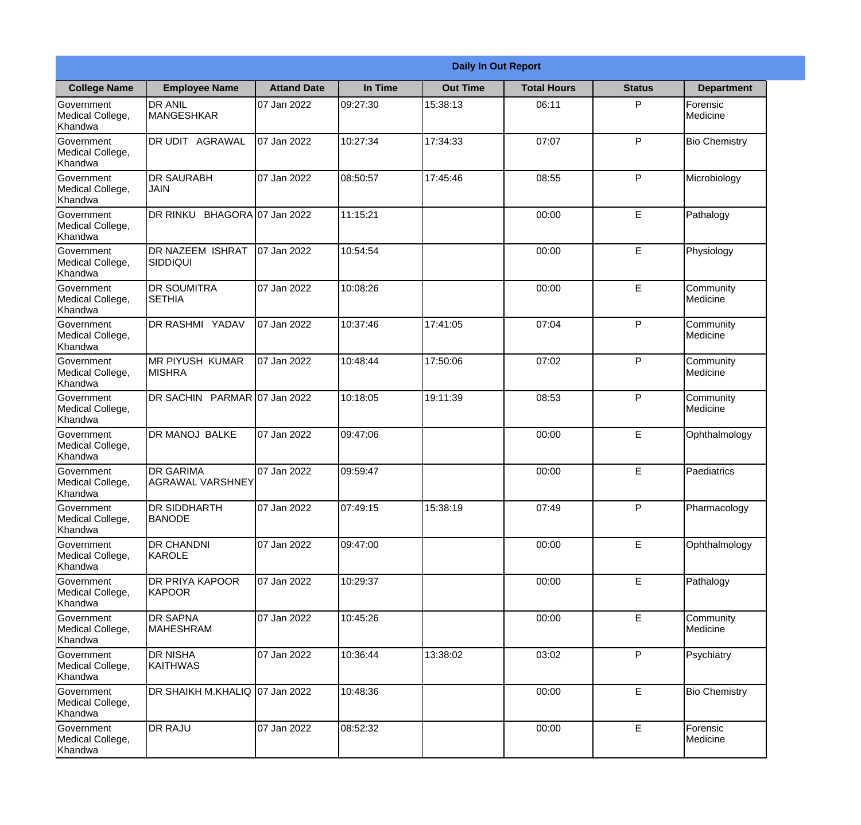|                                           | <b>Daily In Out Report</b>                  |                     |          |                 |                    |               |                       |  |  |
|-------------------------------------------|---------------------------------------------|---------------------|----------|-----------------|--------------------|---------------|-----------------------|--|--|
| <b>College Name</b>                       | <b>Employee Name</b>                        | <b>Attand Date</b>  | In Time  | <b>Out Time</b> | <b>Total Hours</b> | <b>Status</b> | <b>Department</b>     |  |  |
| Government<br>Medical College,<br>Khandwa | <b>DR ANIL</b><br>MANGESHKAR                | 07 Jan 2022         | 09:27:30 | 15:38:13        | 06:11              | P             | Forensic<br>Medicine  |  |  |
| Government<br>Medical College,<br>Khandwa | DR UDIT AGRAWAL                             | 07 Jan 2022         | 10:27:34 | 17:34:33        | 07:07              | P             | <b>Bio Chemistry</b>  |  |  |
| Government<br>Medical College,<br>Khandwa | <b>DR SAURABH</b><br>JAIN                   | 07 Jan 2022         | 08:50:57 | 17:45:46        | 08:55              | P             | Microbiology          |  |  |
| Government<br>Medical College,<br>Khandwa | DR RINKU                                    | BHAGORA 07 Jan 2022 | 11:15:21 |                 | 00:00              | E             | Pathalogy             |  |  |
| Government<br>Medical College,<br>Khandwa | <b>DR NAZEEM ISHRAT</b><br><b>SIDDIQUI</b>  | 07 Jan 2022         | 10:54:54 |                 | 00:00              | E             | Physiology            |  |  |
| Government<br>Medical College,<br>Khandwa | <b>DR SOUMITRA</b><br><b>SETHIA</b>         | 07 Jan 2022         | 10:08:26 |                 | 00:00              | $\mathsf E$   | Community<br>Medicine |  |  |
| Government<br>Medical College,<br>Khandwa | <b>DR RASHMI YADAV</b>                      | 07 Jan 2022         | 10:37:46 | 17:41:05        | 07:04              | P             | Community<br>Medicine |  |  |
| Government<br>Medical College,<br>Khandwa | <b>MR PIYUSH KUMAR</b><br><b>MISHRA</b>     | 07 Jan 2022         | 10:48:44 | 17:50:06        | 07:02              | P             | Community<br>Medicine |  |  |
| Government<br>Medical College,<br>Khandwa | <b>DR SACHIN</b>                            | PARMAR 07 Jan 2022  | 10:18:05 | 19:11:39        | 08:53              | P             | Community<br>Medicine |  |  |
| Government<br>Medical College,<br>Khandwa | DR MANOJ BALKE                              | 07 Jan 2022         | 09:47:06 |                 | 00:00              | $\mathsf E$   | Ophthalmology         |  |  |
| Government<br>Medical College,<br>Khandwa | <b>DR GARIMA</b><br><b>AGRAWAL VARSHNEY</b> | 07 Jan 2022         | 09:59:47 |                 | 00:00              | E             | Paediatrics           |  |  |
| Government<br>Medical College,<br>Khandwa | <b>DR SIDDHARTH</b><br><b>BANODE</b>        | 07 Jan 2022         | 07:49:15 | 15:38:19        | 07:49              | P             | Pharmacology          |  |  |
| Government<br>Medical College,<br>Khandwa | DR CHANDNI<br><b>KAROLE</b>                 | 07 Jan 2022         | 09:47:00 |                 | 00:00              | E             | Ophthalmology         |  |  |
| Government<br>Medical College,<br>Khandwa | DR PRIYA KAPOOR<br>KAPOOR                   | 07 Jan 2022         | 10:29:37 |                 | 00:00              | $\mathsf E$   | Pathalogy             |  |  |
| Government<br>Medical College,<br>Khandwa | <b>DR SAPNA</b><br><b>MAHESHRAM</b>         | 07 Jan 2022         | 10:45:26 |                 | 00:00              | $\mathsf E$   | Community<br>Medicine |  |  |
| Government<br>Medical College,<br>Khandwa | <b>DR NISHA</b><br><b>KAITHWAS</b>          | 07 Jan 2022         | 10:36:44 | 13:38:02        | 03:02              | P             | Psychiatry            |  |  |
| Government<br>Medical College,<br>Khandwa | DR SHAIKH M.KHALIQ 07 Jan 2022              |                     | 10:48:36 |                 | 00:00              | E             | <b>Bio Chemistry</b>  |  |  |
| Government<br>Medical College,<br>Khandwa | DR RAJU                                     | 07 Jan 2022         | 08:52:32 |                 | 00:00              | $\mathsf E$   | Forensic<br>Medicine  |  |  |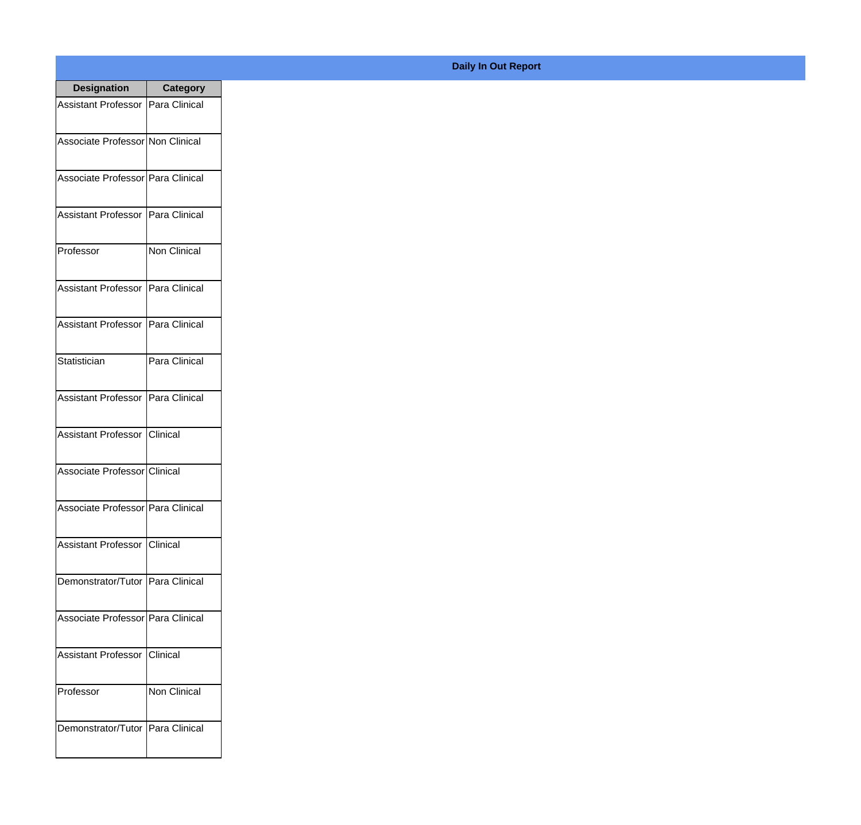| <b>Designation</b>                  | <b>Category</b> |
|-------------------------------------|-----------------|
| Assistant Professor   Para Clinical |                 |
| Associate Professor Non Clinical    |                 |
| Associate Professor   Para Clinical |                 |
| <b>Assistant Professor</b>          | Para Clinical   |
| Professor                           | Non Clinical    |
| Assistant Professor   Para Clinical |                 |
| Assistant Professor   Para Clinical |                 |
| Statistician                        | Para Clinical   |
| Assistant Professor   Para Clinical |                 |
| <b>Assistant Professor</b>          | IClinical       |
| Associate Professor Clinical        |                 |
| Associate Professor   Para Clinical |                 |
| Assistant Professor   Clinical      |                 |
| Demonstrator/Tutor   Para Clinical  |                 |
| Associate Professor   Para Clinical |                 |
| <b>Assistant Professor</b>          | Clinical        |
| Professor                           | Non Clinical    |
| Demonstrator/Tutor   Para Clinical  |                 |

## **Daily In Out Report**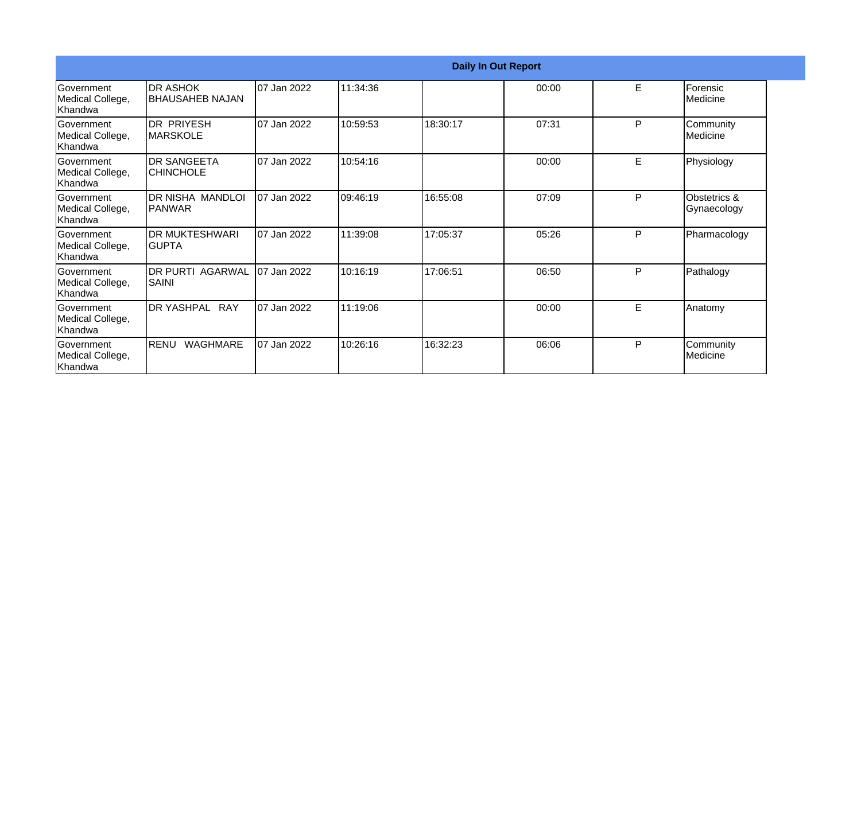| <b>Daily In Out Report</b>                       |                                         |             |          |          |       |    |                                |
|--------------------------------------------------|-----------------------------------------|-------------|----------|----------|-------|----|--------------------------------|
| Government<br>Medical College,<br>Khandwa        | <b>DR ASHOK</b><br>BHAUSAHEB NAJAN      | 07 Jan 2022 | 11:34:36 |          | 00:00 | E. | Forensic<br>Medicine           |
| Government<br>Medical College,<br>Khandwa        | <b>DR PRIYESH</b><br>IMARSKOLE          | 07 Jan 2022 | 10:59:53 | 18:30:17 | 07:31 | P  | Community<br><b>I</b> Medicine |
| Government<br>Medical College,<br>Khandwa        | <b>DR SANGEETA</b><br><b>CHINCHOLE</b>  | 07 Jan 2022 | 10:54:16 |          | 00:00 | E  | Physiology                     |
| <b>Government</b><br>Medical College,<br>Khandwa | DR NISHA MANDLOI<br><b>PANWAR</b>       | 07 Jan 2022 | 09:46:19 | 16:55:08 | 07:09 | P  | Obstetrics &<br>Gynaecology    |
| Government<br>Medical College,<br>Khandwa        | <b>DR MUKTESHWARI</b><br>IGUPTA         | 07 Jan 2022 | 11:39:08 | 17:05:37 | 05:26 | P  | Pharmacology                   |
| Government<br>Medical College,<br>Khandwa        | <b>DR PURTI AGARWAL</b><br><b>SAINI</b> | 07 Jan 2022 | 10:16:19 | 17:06:51 | 06:50 | P  | Pathalogy                      |
| <b>Government</b><br>Medical College,<br>Khandwa | DR YASHPAL RAY                          | 07 Jan 2022 | 11:19:06 |          | 00:00 | E  | Anatomy                        |
| Government<br>Medical College,<br>Khandwa        | <b>RENU</b><br><b>WAGHMARE</b>          | 07 Jan 2022 | 10:26:16 | 16:32:23 | 06:06 | P  | Community<br><b>I</b> Medicine |